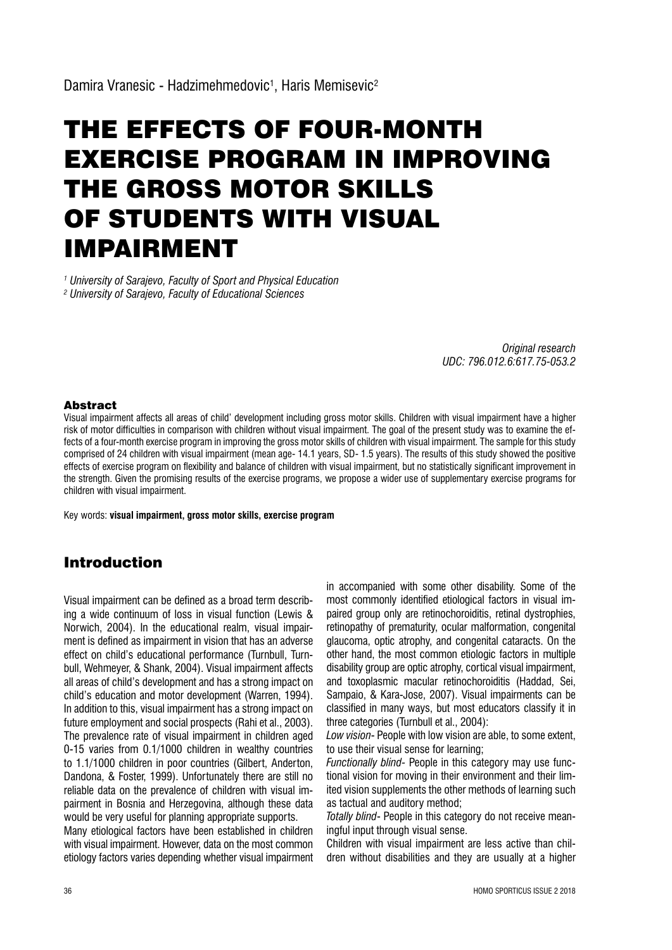# THE EFFECTS OF FOUR-MONTH EXERCISE PROGRAM IN IMPROVING THE GROSS MOTOR SKILLS OF STUDENTS WITH VISUAL IMPAIRMENT

*1 University of Sarajevo, Faculty of Sport and Physical Education 2 University of Sarajevo, Faculty of Educational Sciences*

> *Original research UDC: 796.012.6:617.75-053.2*

#### Abstract

Visual impairment affects all areas of child' development including gross motor skills. Children with visual impairment have a higher risk of motor difficulties in comparison with children without visual impairment. The goal of the present study was to examine the effects of a four-month exercise program in improving the gross motor skills of children with visual impairment. The sample for this study comprised of 24 children with visual impairment (mean age- 14.1 years, SD- 1.5 years). The results of this study showed the positive effects of exercise program on flexibility and balance of children with visual impairment, but no statistically significant improvement in the strength. Given the promising results of the exercise programs, we propose a wider use of supplementary exercise programs for children with visual impairment.

Key words: **visual impairment, gross motor skills, exercise program** 

## Introduction

Visual impairment can be defined as a broad term describing a wide continuum of loss in visual function (Lewis  $\&$ Norwich, 2004). In the educational realm, visual impairment is defined as impairment in vision that has an adverse effect on child's educational performance (Turnbull, Turnbull, Wehmeyer, & Shank, 2004). Visual impairment affects all areas of child's development and has a strong impact on child's education and motor development (Warren, 1994). In addition to this, visual impairment has a strong impact on future employment and social prospects (Rahi et al., 2003). The prevalence rate of visual impairment in children aged 0-15 varies from 0.1/1000 children in wealthy countries to 1.1/1000 children in poor countries (Gilbert, Anderton, Dandona, & Foster, 1999). Unfortunately there are still no reliable data on the prevalence of children with visual impairment in Bosnia and Herzegovina, although these data would be very useful for planning appropriate supports.

Many etiological factors have been established in children with visual impairment. However, data on the most common etiology factors varies depending whether visual impairment

in accompanied with some other disability. Some of the most commonly identified etiological factors in visual impaired group only are retinochoroiditis, retinal dystrophies, retinopathy of prematurity, ocular malformation, congenital glaucoma, optic atrophy, and congenital cataracts. On the other hand, the most common etiologic factors in multiple disability group are optic atrophy, cortical visual impairment, and toxoplasmic macular retinochoroiditis (Haddad, Sei, Sampaio, & Kara-Jose, 2007). Visual impairments can be classified in many ways, but most educators classify it in three categories (Turnbull et al., 2004):

Low vision- People with low vision are able, to some extent, to use their visual sense for learning;

*Functionally blind-* People in this category may use functional vision for moving in their environment and their limited vision supplements the other methods of learning such as tactual and auditory method;

*Totally blind*- People in this category do not receive meaningful input through visual sense.

Children with visual impairment are less active than chil dren without disabilities and they are usually at a higher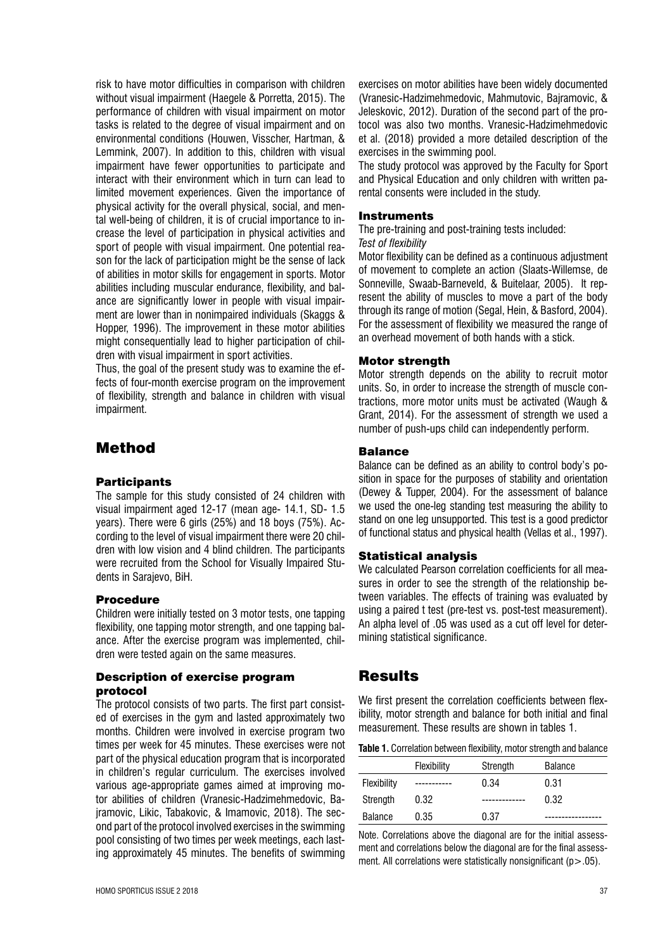risk to have motor difficulties in comparison with children without visual impairment (Haegele & Porretta, 2015). The performance of children with visual impairment on motor tasks is related to the degree of visual impairment and on environmental conditions (Houwen, Visscher, Hartman, & Lemmink, 2007). In addition to this, children with visual impairment have fewer opportunities to participate and interact with their environment which in turn can lead to limited movement experiences. Given the importance of physical activity for the overall physical, social, and mental well-being of children, it is of crucial importance to increase the level of participation in physical activities and sport of people with visual impairment. One potential reason for the lack of participation might be the sense of lack of abilities in motor skills for engagement in sports. Motor abilities including muscular endurance, flexibility, and balance are significantly lower in people with visual impairment are lower than in nonimpaired individuals (Skaggs & Hopper, 1996). The improvement in these motor abilities might consequentially lead to higher participation of children with visual impairment in sport activities.

Thus, the goal of the present study was to examine the effects of four-month exercise program on the improvement of flexibility, strength and balance in children with visual impairment.

# Method

### **Participants**

The sample for this study consisted of 24 children with visual impairment aged  $12-17$  (mean age-  $14.1$ , SD-  $1.5$ years). There were 6 girls (25%) and 18 boys (75%). According to the level of visual impairment there were 20 children with low vision and 4 blind children. The participants were recruited from the School for Visually Impaired Stu dents in Saraievo. BiH.

#### Procedure

Children were initially tested on 3 motor tests, one tapping flexibility, one tapping motor strength, and one tapping balance. After the exercise program was implemented, children were tested again on the same measures.

#### Description of exercise program protocol

The protocol consists of two parts. The first part consist ed of exercises in the ovm and lasted approximately two months. Children were involved in exercise program two times per week for 45 minutes. These exercises were not part of the physical education program that is incorporated in children's regular curriculum. The exercises involved various age-appropriate games aimed at improving motor abilities of children (Vranesic-Hadzimehmedovic, Bajramovic, Likic, Tabakovic, & Imamovic, 2018). The second part of the protocol involved exercises in the swimming pool consisting of two times per week meetings, each lasting approximately 45 minutes. The benefits of swimming

Sonneville, Swaab-Barneveld, & Buitelaar, 2005). It represent the ability of muscles to move a part of the body through its range of motion (Segal, Hein, & Basford, 2004). For the assessment of flexibility we measured the range of

**Instruments** 

*Test of flexibility* 

#### Motor strength

exercises in the swimming pool.

rental consents were included in the study.

The pre-training and post-training tests included:

an overhead movement of both hands with a stick.

Motor strength depends on the ability to recruit motor units. So, in order to increase the strength of muscle contractions, more motor units must be activated (Waugh & Grant, 2014). For the assessment of strength we used a number of push-ups child can independently perform.

exercises on motor abilities have been widely documented (Vranesic-Hadzimehmedovic, Mahmutovic, Bairamovic, & Jeleskovic, 2012). Duration of the second part of the protocol was also two months. Vranesic-Hadzimehmedovic et al. (2018) provided a more detailed description of the

The study protocol was approved by the Faculty for Sport and Physical Education and only children with written pa

Motor flexibility can be defined as a continuous adjustment of movement to complete an action (Slaats-Willemse, de

#### Balance

Balance can be defined as an ability to control body's position in space for the purposes of stability and orientation (Dewey & Tupper, 2004). For the assessment of balance we used the one-leg standing test measuring the ability to stand on one leg unsupported. This test is a good predictor of functional status and physical health (Vellas et al., 1997).

#### Statistical analysis

We calculated Pearson correlation coefficients for all measures in order to see the strength of the relationship between variables. The effects of training was evaluated by using a paired t test (pre-test vs. post-test measurement). An alpha level of .05 was used as a cut off level for determining statistical significance.

## Results

We first present the correlation coefficients between flexibility, motor strength and balance for both initial and final measurement. These results are shown in tables 1.

|  |  |  | Table 1. Correlation between flexibility, motor strength and balance |
|--|--|--|----------------------------------------------------------------------|
|  |  |  |                                                                      |

|                | Flexibility | Strength | <b>Balance</b> |
|----------------|-------------|----------|----------------|
| Flexibility    |             | 0.34     | 0.31           |
| Strength       | 0.32        |          | 0.32           |
| <b>Balance</b> | 0.35        | 0.37     |                |

Note. Correlations above the diagonal are for the initial assessment and correlations below the diagonal are for the final assessment. All correlations were statistically nonsignificant ( $p > 05$ ).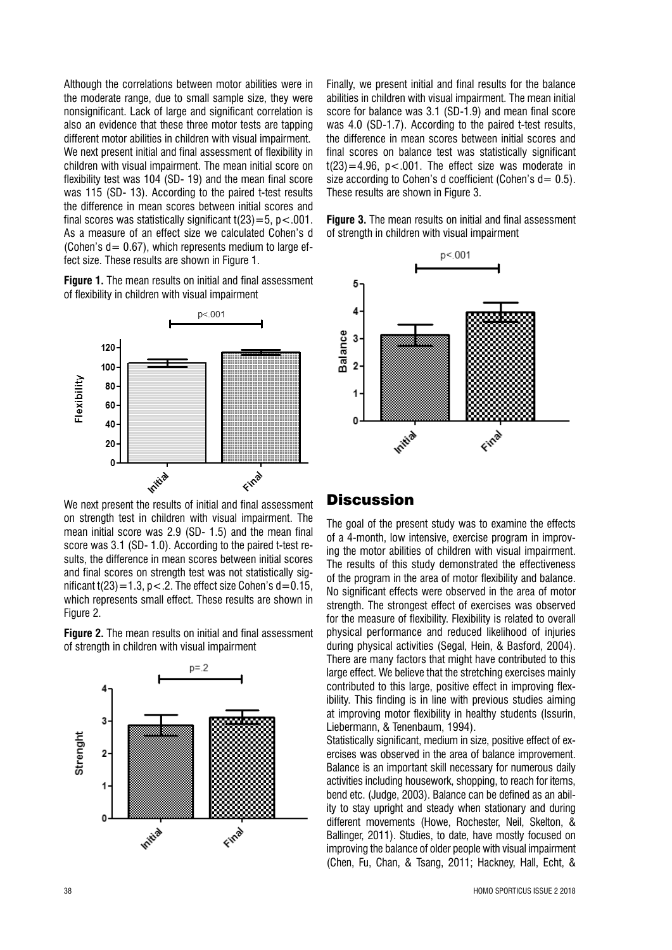Although the correlations between motor abilities were in the moderate range, due to small sample size, they were nonsignificant. Lack of large and significant correlation is also an evidence that these three motor tests are tapping different motor abilities in children with visual impairment. We next present initial and final assessment of flexibility in children with visual impairment. The mean initial score on flexibility test was 104 (SD-19) and the mean final score was 115 (SD-13). According to the paired t-test results the difference in mean scores between initial scores and final scores was statistically significant  $t(23) = 5$ ,  $p < .001$ . As a measure of an effect size we calculated Cohen's d (Cohen's  $d = 0.67$ ), which represents medium to large effect size. These results are shown in Figure 1.

Figure 1. The mean results on initial and final assessment of flexibility in children with visual impairment



We next present the results of initial and final assessment on strength test in children with visual impairment. The mean initial score was 2.9 (SD- 1.5) and the mean final score was 3.1 (SD-1.0). According to the paired t-test results, the difference in mean scores between initial scores and final scores on strength test was not statistically significant  $t(23) = 1.3$ , p < .2. The effect size Cohen's d = 0.15, which represents small effect. These results are shown in Figure 2.

Figure 2. The mean results on initial and final assessment of strength in children with visual impairment



Finally, we present initial and final results for the balance abilities in children with visual impairment. The mean initial score for balance was 3.1 (SD-1.9) and mean final score was 4.0 (SD-1.7). According to the paired t-test results, the difference in mean scores between initial scores and final scores on balance test was statistically significant  $t(23) = 4.96$ ,  $p < .001$ . The effect size was moderate in size according to Cohen's d coefficient (Cohen's  $d = 0.5$ ). These results are shown in Figure 3.

Figure 3. The mean results on initial and final assessment of strength in children with visual impairment



## **Discussion**

The goal of the present study was to examine the effects of a 4-month, low intensive, exercise program in improving the motor abilities of children with visual impairment. The results of this study demonstrated the effectiveness of the program in the area of motor flexibility and balance. No significant effects were observed in the area of motor strength. The strongest effect of exercises was observed for the measure of flexibility. Flexibility is related to overall physical performance and reduced likelihood of injuries during physical activities (Segal, Hein, & Basford, 2004). There are many factors that might have contributed to this large effect. We believe that the stretching exercises mainly contributed to this large, positive effect in improving flexibility. This finding is in line with previous studies aiming at improving motor flexibility in healthy students (Issurin, Liebermann. & Tenenbaum. 1994).

Statistically significant, medium in size, positive effect of exercises was observed in the area of balance improvement. Balance is an important skill necessary for numerous daily activities including housework, shopping, to reach for items. bend etc. (Judge, 2003). Balance can be defined as an ability to stay upright and steady when stationary and during different movements (Howe, Rochester, Neil, Skelton, & Ballinger, 2011). Studies, to date, have mostly focused on improving the balance of older people with visual impairment (Chen. Fu. Chan. & Tsang. 2011; Hackney, Hall. Echt. &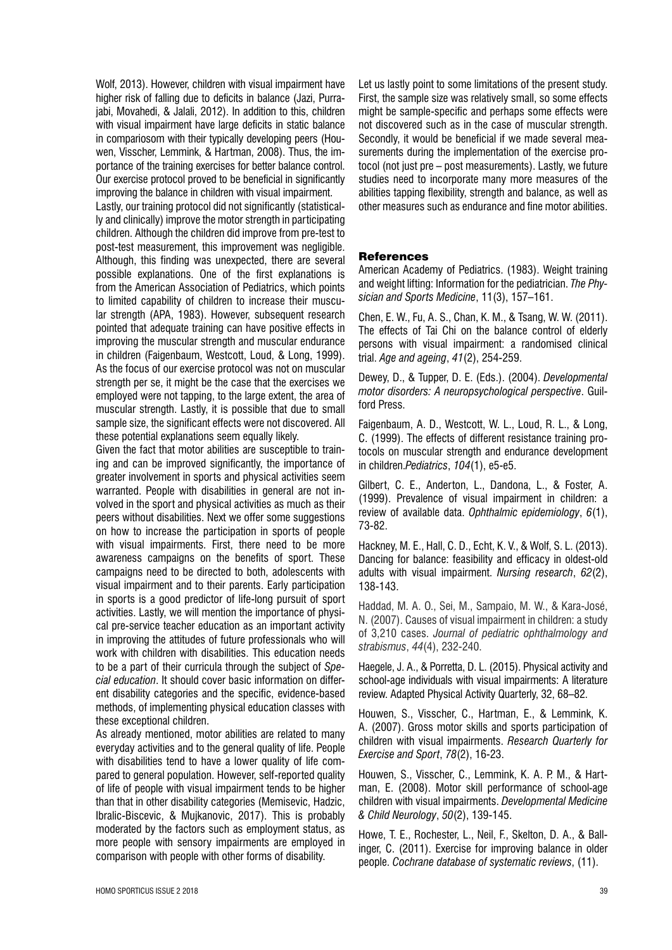Wolf, 2013). However, children with visual impairment have higher risk of falling due to deficits in balance (Jazi, Purrajabi, Movahedi, & Jalali, 2012). In addition to this, children with visual impairment have large deficits in static balance in compariosom with their typically developing peers (Houwen, Visscher, Lemmink, & Hartman, 2008). Thus, the importance of the training exercises for better balance control. Our exercise protocol proved to be beneficial in significantly improving the balance in children with visual impairment.

Lastly, our training protocol did not significantly (statistically and clinically) improve the motor strength in participating children. Although the children did improve from pre-test to post-test measurement, this improvement was negligible. Although, this finding was unexpected, there are several possible explanations. One of the first explanations is from the American Association of Pediatrics, which points to limited capability of children to increase their muscular strength (APA, 1983). However, subsequent research pointed that adequate training can have positive effects in improving the muscular strength and muscular endurance in children (Faigenbaum, Westcott, Loud, & Long, 1999). As the focus of our exercise protocol was not on muscular strength per se, it might be the case that the exercises we employed were not tapping, to the large extent, the area of muscular strength. Lastly, it is possible that due to small sample size, the significant effects were not discovered. All these potential explanations seem equally likely.

Given the fact that motor abilities are susceptible to training and can be improved significantly, the importance of greater involvement in sports and physical activities seem warranted. People with disabilities in general are not involved in the sport and physical activities as much as their peers without disabilities. Next we offer some suggestions on how to increase the participation in sports of people with visual impairments. First, there need to be more awareness campaigns on the benefits of sport. These campaigns need to be directed to both, adolescents with visual impairment and to their parents. Early participation in sports is a good predictor of life-long pursuit of sport activities. Lastly, we will mention the importance of physical pre-service teacher education as an important activity in improving the attitudes of future professionals who will work with children with disabilities. This education needs to be a part of their curricula through the subject of Special education. It should cover basic information on different disability categories and the specific, evidence-based methods, of implementing physical education classes with these exceptional children.

As already mentioned, motor abilities are related to many everyday activities and to the general quality of life. People with disabilities tend to have a lower quality of life compared to general population. However, self-reported quality of life of people with visual impairment tends to be higher than that in other disability categories (Memisevic, Hadzic, Ibralic-Biscevic, & Mujkanovic, 2017). This is probably moderated by the factors such as employment status, as more people with sensory impairments are employed in comparison with people with other forms of disability.

Let us lastly point to some limitations of the present study. First, the sample size was relatively small, so some effects might be sample-specific and perhaps some effects were not discovered such as in the case of muscular strength. Secondly, it would be beneficial if we made several measurements during the implementation of the exercise protocol (not just pre - post measurements). Lastly, we future studies need to incorporate many more measures of the abilities tapping flexibility, strength and balance, as well as other measures such as endurance and fine motor abilities.

#### **References**

American Academy of Pediatrics. (1983). Weight training and weight lifting: Information for the pediatrician. The Physician and Sports Medicine, 11(3), 157-161.

Chen, E. W., Fu, A. S., Chan, K. M., & Tsang, W. W. (2011). The effects of Tai Chi on the balance control of elderly persons with visual impairment: a randomised clinical trial. Age and ageing, 41(2), 254-259.

Dewey, D., & Tupper, D. E. (Eds.). (2004). Developmental motor disorders: A neuropsychological perspective. Guilford Press.

Faigenbaum, A. D., Westcott, W. L., Loud, R. L., & Long, C. (1999). The effects of different resistance training protocols on muscular strength and endurance development in children. Pediatrics. 104(1). e5-e5.

Gilbert, C. E., Anderton, L., Dandona, L., & Foster, A. (1999). Prevalence of visual impairment in children: a review of available data. Ophthalmic epidemiology, 6(1), 73-82.

Hackney, M. E., Hall, C. D., Echt, K. V., & Wolf, S. L. (2013). Dancing for balance: feasibility and efficacy in oldest-old adults with visual impairment. Nursing research, 62(2), 138-143.

Haddad, M. A. O., Sei, M., Sampaio, M. W., & Kara-José, N. (2007). Causes of visual impairment in children: a study of 3,210 cases. Journal of pediatric ophthalmology and strabismus, 44(4), 232-240.

Haegele, J. A., & Porretta, D. L. (2015). Physical activity and school-age individuals with visual impairments: A literature review. Adapted Physical Activity Quarterly, 32, 68-82.

Houwen, S., Visscher, C., Hartman, E., & Lemmink, K. A. (2007). Gross motor skills and sports participation of children with visual impairments. Research Quarterly for Exercise and Sport, 78(2), 16-23.

Houwen, S., Visscher, C., Lemmink, K. A. P. M., & Hartman. E. (2008). Motor skill performance of school-age children with visual impairments. Developmental Medicine & Child Neuroloav, 50(2), 139-145.

Howe, T. E., Rochester, L., Neil, F., Skelton, D. A., & Ballinger. C. (2011). Exercise for improving balance in older people. Cochrane database of systematic reviews, (11).